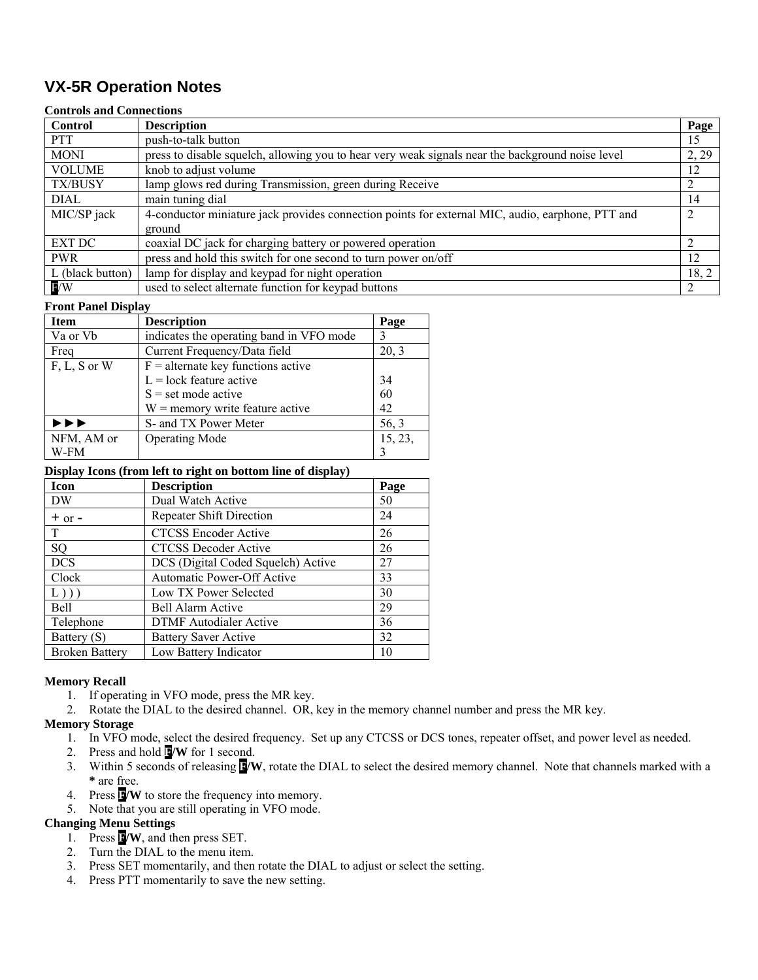# **VX-5R Operation Notes**

#### **Controls and Connections**

| <b>Control</b>   | <b>Description</b>                                                                               | Page  |
|------------------|--------------------------------------------------------------------------------------------------|-------|
| <b>PTT</b>       | push-to-talk button                                                                              | 15    |
| <b>MONI</b>      | press to disable squelch, allowing you to hear very weak signals near the background noise level | 2, 29 |
| <b>VOLUME</b>    | knob to adjust volume                                                                            | 12    |
| <b>TX/BUSY</b>   | lamp glows red during Transmission, green during Receive                                         |       |
| <b>DIAL</b>      | main tuning dial                                                                                 | 14    |
| MIC/SP jack      | 4-conductor miniature jack provides connection points for external MIC, audio, earphone, PTT and |       |
|                  | ground                                                                                           |       |
| <b>EXT DC</b>    | coaxial DC jack for charging battery or powered operation                                        |       |
| <b>PWR</b>       | press and hold this switch for one second to turn power on/off                                   | 12    |
| L (black button) | lamp for display and keypad for night operation                                                  | 18, 2 |
| <b>E</b> /W      | used to select alternate function for keypad buttons                                             |       |

#### **Front Panel Display**

| <b>Item</b>    | <b>Description</b>                       | Page    |
|----------------|------------------------------------------|---------|
| Va or Vb       | indicates the operating band in VFO mode | 3       |
| Freq           | Current Frequency/Data field             | 20, 3   |
| $F, L, S$ or W | $F =$ alternate key functions active     |         |
|                | $L = \text{lock}$ feature active         | 34      |
|                | $S = set mode active$                    | 60      |
|                | $W =$ memory write feature active        | 42      |
| ▶▶▶            | S- and TX Power Meter                    | 56, 3   |
| NFM, AM or     | <b>Operating Mode</b>                    | 15, 23, |
| W-FM           |                                          |         |

#### **Display Icons (from left to right on bottom line of display)**

|                       | . .                                |      |
|-----------------------|------------------------------------|------|
| Icon                  | <b>Description</b>                 | Page |
| DW                    | Dual Watch Active                  | 50   |
| $+$ or $-$            | Repeater Shift Direction           | 24   |
| T                     | <b>CTCSS Encoder Active</b>        | 26   |
| SQ                    | <b>CTCSS Decoder Active</b>        | 26   |
| <b>DCS</b>            | DCS (Digital Coded Squelch) Active | 27   |
| Clock                 | Automatic Power-Off Active         | 33   |
| L))                   | Low TX Power Selected              | 30   |
| <b>Bell</b>           | Bell Alarm Active                  | 29   |
| Telephone             | <b>DTMF</b> Autodialer Active      | 36   |
| Battery (S)           | <b>Battery Saver Active</b>        | 32   |
| <b>Broken Battery</b> | Low Battery Indicator              | 10   |

## **Memory Recall**

- 1. If operating in VFO mode, press the MR key.
- 2. Rotate the DIAL to the desired channel. OR, key in the memory channel number and press the MR key.

### **Memory Storage**

- 1. In VFO mode, select the desired frequency. Set up any CTCSS or DCS tones, repeater offset, and power level as needed.
- 2. Press and hold **F/W** for 1 second.
- 3. Within 5 seconds of releasing **F/W**, rotate the DIAL to select the desired memory channel. Note that channels marked with a **\*** are free.
- 4. Press **F/W** to store the frequency into memory.
- 5. Note that you are still operating in VFO mode.

# **Changing Menu Settings**

- 1. Press **F/W**, and then press SET.
- 2. Turn the DIAL to the menu item.
- 3. Press SET momentarily, and then rotate the DIAL to adjust or select the setting.
- 4. Press PTT momentarily to save the new setting.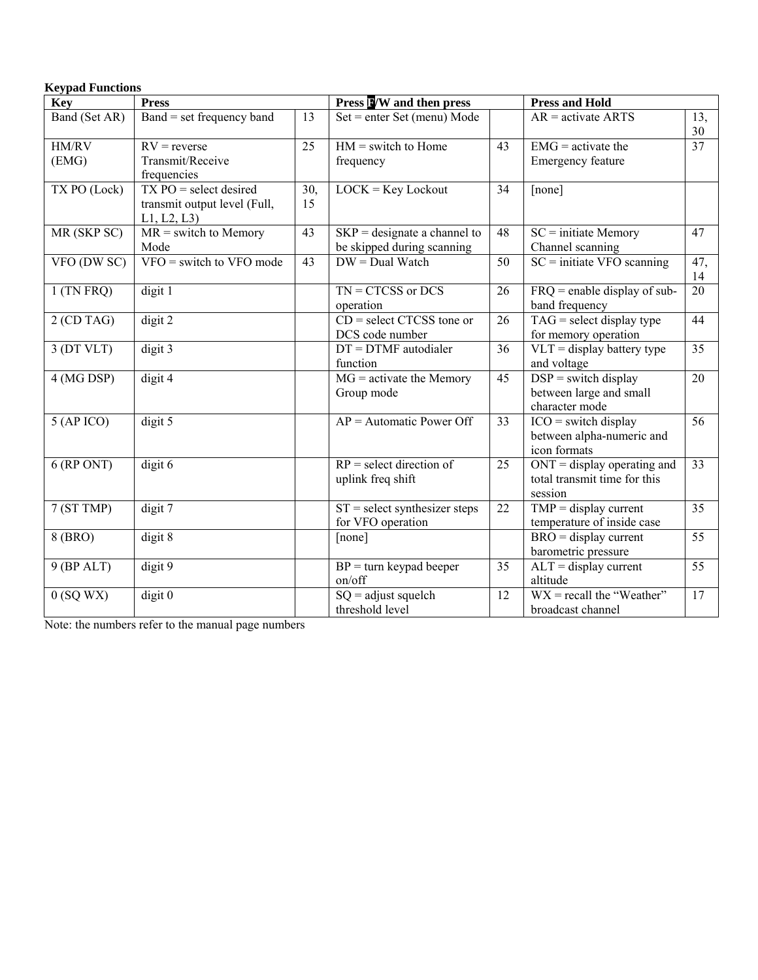|  | <b>Keypad Functions</b> |
|--|-------------------------|
|--|-------------------------|

| <b>Key</b>     | <b>Press</b>                                                            |           | Press NW and then press                                      |    | <b>Press and Hold</b>                                                            |           |
|----------------|-------------------------------------------------------------------------|-----------|--------------------------------------------------------------|----|----------------------------------------------------------------------------------|-----------|
| Band (Set AR)  | Band = set frequency band                                               | 13        | $Set = enter Set (menu) Mode$                                |    | $AR =$ activate ARTS                                                             | 13,<br>30 |
| HM/RV<br>(EMG) | $RV = reverse$<br>Transmit/Receive<br>frequencies                       | 25        | $HM = switch to Home$<br>frequency                           | 43 | $EMG =$ activate the<br><b>Emergency feature</b>                                 | 37        |
| TX PO (Lock)   | $TX PO = select desired$<br>transmit output level (Full,<br>L1, L2, L3) | 30,<br>15 | $LOCK = Key Lock$                                            | 34 | [none]                                                                           |           |
| MR (SKP SC)    | $MR = switch to Memory$<br>Mode                                         | 43        | $SKP =$ designate a channel to<br>be skipped during scanning | 48 | $SC = initiate Memory$<br>Channel scanning                                       | 47        |
| VFO (DW SC)    | $VFO = switch to VFO mode$                                              | 43        | $DW = Dual$ Watch                                            | 50 | $SC =$ initiate VFO scanning                                                     | 47,<br>14 |
| $1$ (TN FRQ)   | digit 1                                                                 |           | $TN = CTCSS$ or DCS<br>operation                             | 26 | $FRQ$ = enable display of sub-<br>band frequency                                 | 20        |
| $2$ (CD TAG)   | digit 2                                                                 |           | $CD = select CTCSS$ tone or<br>DCS code number               | 26 | $TAG = select$ display type<br>for memory operation                              | 44        |
| $3$ (DT VLT)   | digit 3                                                                 |           | $DT = DTMF$ autodialer<br>function                           | 36 | $VLT =$ display battery type<br>and voltage                                      | 35        |
| 4 (MG DSP)     | digit 4                                                                 |           | $MG =$ activate the Memory<br>Group mode                     | 45 | $DSP = switch display$<br>between large and small<br>character mode              | 20        |
| $5$ (AP ICO)   | digit 5                                                                 |           | $AP =$ Automatic Power Off                                   | 33 | $ICO = switch display$<br>between alpha-numeric and<br>icon formats              | 56        |
| $6$ (RP ONT)   | $\overline{digit\ 6}$                                                   |           | $RP = select direction of$<br>uplink freq shift              | 25 | $ONT = display$ display operating and<br>total transmit time for this<br>session | 33        |
| 7 (ST TMP)     | $\overline{digit}$ 7                                                    |           | $ST = select$ synthesizer steps<br>for VFO operation         | 22 | $TMP = display$ display current<br>temperature of inside case                    | 35        |
| 8 (BRO)        | digit 8                                                                 |           | [none]                                                       |    | $\overline{BRO} = \overline{display}$ current<br>barometric pressure             | 55        |
| $9$ (BP ALT)   | digit 9                                                                 |           | $BP = turn$ keypad beeper<br>on/off                          | 35 | $\overline{AL}T$ = display current<br>altitude                                   | 55        |
| $0$ (SQ WX)    | $\overline{digit}$ 0                                                    |           | $SQ =$ adjust squelch<br>threshold level                     | 12 | $WX = recall the "Weather"$<br>broadcast channel                                 | 17        |

Note: the numbers refer to the manual page numbers